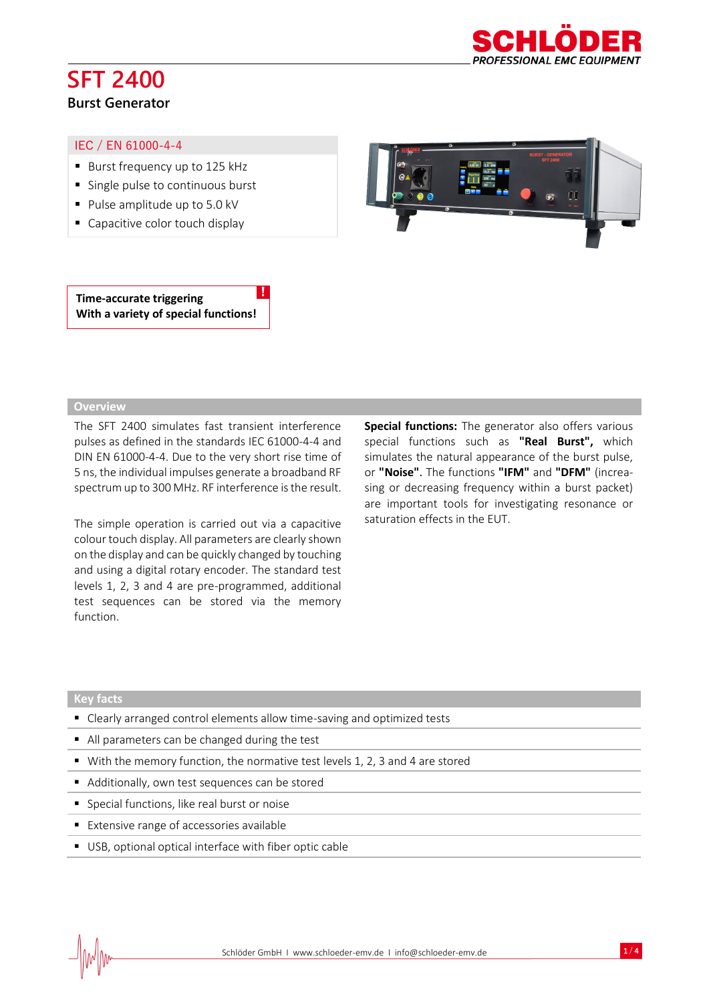

# **SFT 2400**

## **Burst Generator**

#### IEC / EN 61000-4-4

- Burst frequency up to 125 kHz
- Single pulse to continuous burst
- Pulse amplitude up to 5.0 kV
- Capacitive color touch display



**Time-accurate triggering With a variety of special functions!** !

#### **Overview**

The SFT 2400 simulates fast transient interference pulses as defined in the standards IEC 61000-4-4 and DIN EN 61000-4-4. Due to the very short rise time of 5 ns, the individual impulses generate a broadband RF spectrum up to 300 MHz. RF interference is the result.

The simple operation is carried out via a capacitive colour touch display. All parameters are clearly shown on the display and can be quickly changed by touching and using a digital rotary encoder. The standard test levels 1, 2, 3 and 4 are pre-programmed, additional test sequences can be stored via the memory function.

**Special functions:** The generator also offers various special functions such as **"Real Burst",** which simulates the natural appearance of the burst pulse, or **"Noise"**. The functions **"IFM"** and **"DFM"** (increasing or decreasing frequency within a burst packet) are important tools for investigating resonance or saturation effects in the EUT.

#### **Key facts**

- Clearly arranged control elements allow time-saving and optimized tests
- All parameters can be changed during the test
- With the memory function, the normative test levels 1, 2, 3 and 4 are stored
- Additionally, own test sequences can be stored
- Special functions, like real burst or noise
- **Extensive range of accessories available**
- USB, optional optical interface with fiber optic cable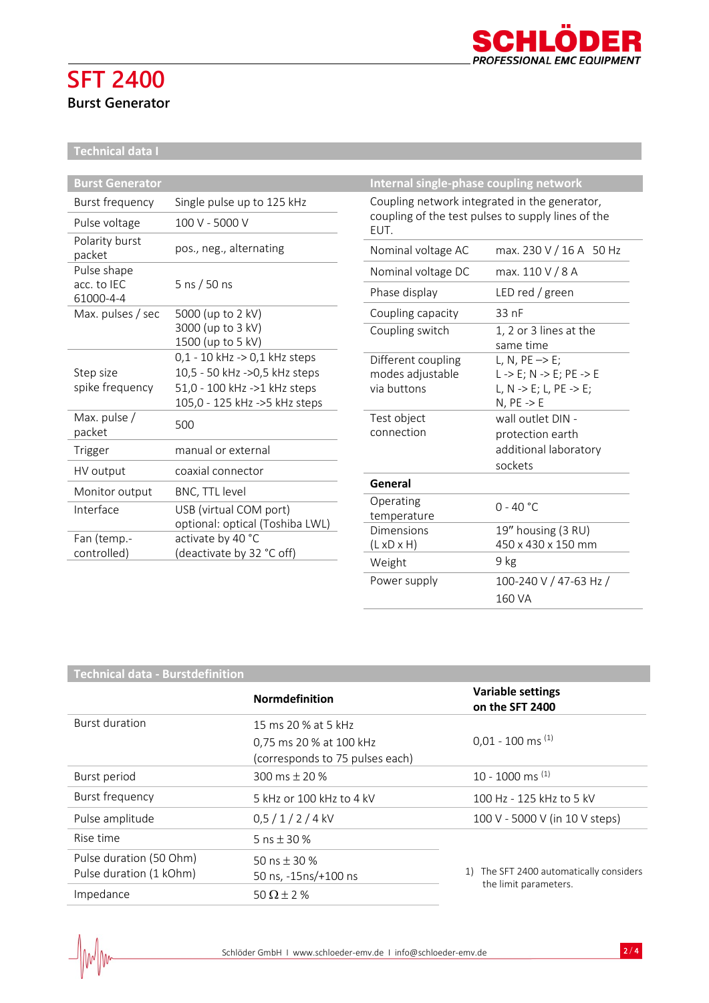

### **Technical data I**

| <b>Burst Generator</b>                  |                                                                                                                                     |
|-----------------------------------------|-------------------------------------------------------------------------------------------------------------------------------------|
| <b>Burst frequency</b>                  | Single pulse up to 125 kHz                                                                                                          |
| Pulse voltage                           | 100 V - 5000 V                                                                                                                      |
| Polarity burst<br>packet                | pos., neg., alternating                                                                                                             |
| Pulse shape<br>acc. to IEC<br>61000-4-4 | 5 ns $/$ 50 ns                                                                                                                      |
| Max. pulses / sec                       | 5000 (up to 2 kV)<br>3000 (up to 3 kV)<br>1500 (up to 5 kV)                                                                         |
| Step size<br>spike frequency            | $0,1 - 10$ kHz -> $0,1$ kHz steps<br>10,5 - 50 kHz ->0,5 kHz steps<br>51,0 - 100 kHz ->1 kHz steps<br>105,0 - 125 kHz ->5 kHz steps |
| Max. pulse /<br>packet                  | 500                                                                                                                                 |
| Trigger                                 | manual or external                                                                                                                  |
| HV output                               | coaxial connector                                                                                                                   |
| Monitor output                          | <b>BNC, TTL level</b>                                                                                                               |
| Interface                               | USB (virtual COM port)<br>optional: optical (Toshiba LWL)                                                                           |
| Fan (temp.-<br>controlled)              | activate by 40 °C<br>(deactivate by 32 °C off)                                                                                      |

|         | Internal single-phase coupling network                                                                      |                                                                                                                     |  |
|---------|-------------------------------------------------------------------------------------------------------------|---------------------------------------------------------------------------------------------------------------------|--|
|         | Coupling network integrated in the generator,<br>coupling of the test pulses to supply lines of the<br>EUT. |                                                                                                                     |  |
|         | Nominal voltage AC                                                                                          | max. 230 V / 16 A 50 Hz                                                                                             |  |
|         | Nominal voltage DC                                                                                          | max. 110 V / 8 A                                                                                                    |  |
|         | Phase display                                                                                               | LED red / $green$                                                                                                   |  |
|         | Coupling capacity                                                                                           | 33 nF                                                                                                               |  |
|         | Coupling switch                                                                                             | 1, 2 or 3 lines at the<br>same time                                                                                 |  |
|         | Different coupling<br>modes adjustable<br>via buttons                                                       | L, N, PE $\rightarrow$ E;<br>$L \rightarrow E$ ; N -> E; PE -> E<br>L, N -> E; L, PE -> E;<br>$N, PE \rightarrow E$ |  |
|         | Test object<br>connection                                                                                   | wall outlet DIN -<br>protection earth<br>additional laboratory<br>sockets                                           |  |
| General |                                                                                                             |                                                                                                                     |  |
|         | Operating<br>temperature                                                                                    | $0 - 40 °C$                                                                                                         |  |
|         | <b>Dimensions</b><br>$(LxD \times H)$                                                                       | 19" housing (3 RU)<br>450 x 430 x 150 mm                                                                            |  |
|         | Weight                                                                                                      | 9 kg                                                                                                                |  |
|         | Power supply                                                                                                | 100-240 V / 47-63 Hz /                                                                                              |  |
|         |                                                                                                             | 160 VA                                                                                                              |  |

#### **Technical data - Burstdefinition**

|                         | <b>Normdefinition</b>           | <b>Variable settings</b><br>on the SFT 2400 |
|-------------------------|---------------------------------|---------------------------------------------|
| Burst duration          | 15 ms 20 % at 5 kHz             |                                             |
|                         | 0,75 ms 20 % at 100 kHz         | $0.01 - 100$ ms $(1)$                       |
|                         | (corresponds to 75 pulses each) |                                             |
| Burst period            | 300 ms $\pm$ 20 %               | 10 - 1000 ms $(1)$                          |
| Burst frequency         | 5 kHz or 100 kHz to 4 kV        | 100 Hz - 125 kHz to 5 kV                    |
| Pulse amplitude         | $0,5/1/2/4$ kV                  | 100 V - 5000 V (in 10 V steps)              |
| Rise time               | 5 ns $\pm$ 30 %                 |                                             |
| Pulse duration (50 Ohm) | 50 ns $\pm$ 30 %                |                                             |
| Pulse duration (1 kOhm) | 50 ns, -15ns/+100 ns            | The SFT 2400 automatically considers<br>1)  |
| Impedance               | $50 \Omega \pm 2 \%$            | the limit parameters.                       |

 $\textcolor{red}{\mathcal{M}}$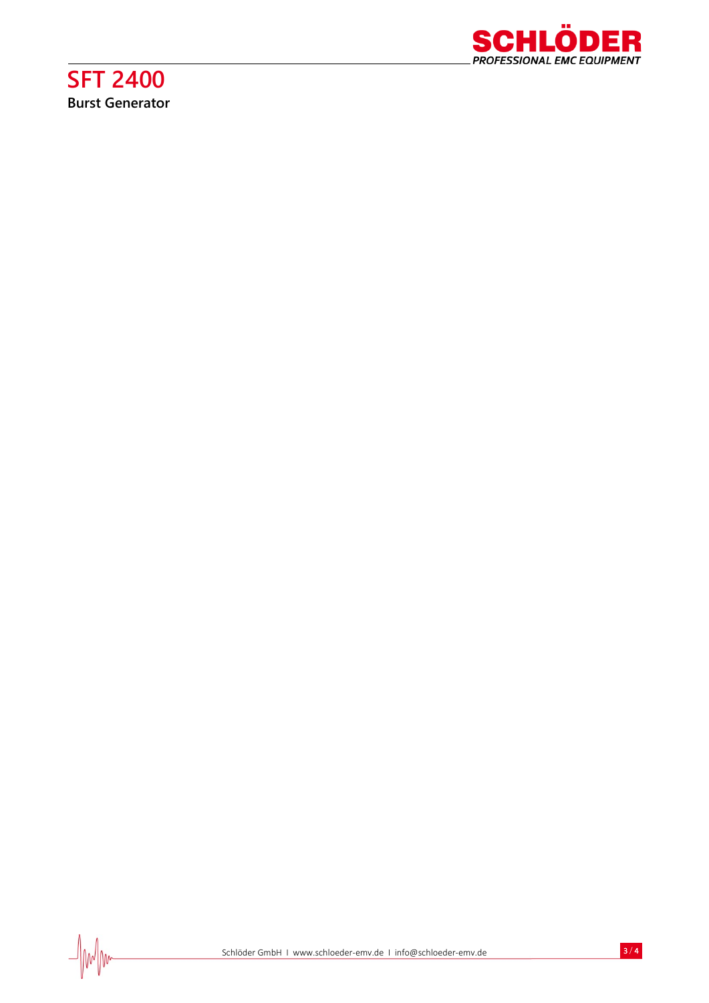



 $\textcolor{red}{\mathcal{M}}$